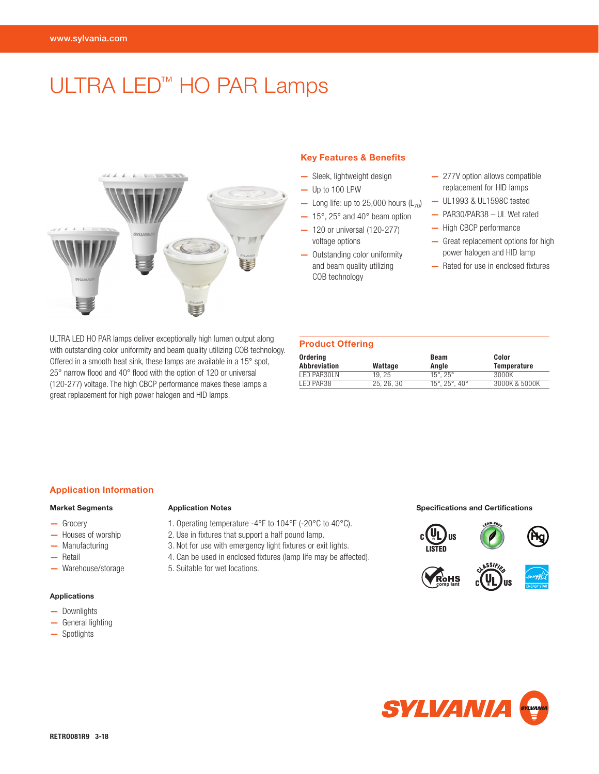# ULTRA LED<sup>™</sup> HO PAR Lamps



ULTRA LED HO PAR lamps deliver exceptionally high lumen output along with outstanding color uniformity and beam quality utilizing COB technology. Offered in a smooth heat sink, these lamps are available in a 15° spot, 25° narrow flood and 40° flood with the option of 120 or universal (120-277) voltage. The high CBCP performance makes these lamps a great replacement for high power halogen and HID lamps.

# Key Features & Benefits

- Sleek, lightweight design
- Up to 100 LPW
- Long life: up to 25,000 hours  $(L_{70})$
- $-15^\circ$ , 25 $^\circ$  and 40 $^\circ$  beam option
- 120 or universal (120-277) voltage options
- Outstanding color uniformity and beam quality utilizing COB technology
- 277V option allows compatible replacement for HID lamps
- UL1993 & UL1598C tested
- PAR30/PAR38 UL Wet rated
- High CBCP performance
- Great replacement options for high power halogen and HID lamp
- Rated for use in enclosed fixtures

# Product Offering

| Ordering<br>Abbreviation | Wattage    | Beam<br>Anale               | Color<br>Temperature |  |  |  |  |  |
|--------------------------|------------|-----------------------------|----------------------|--|--|--|--|--|
| LED PAR30LN              | 19.25      | $15^{\circ}$ , $25^{\circ}$ | 3000K                |  |  |  |  |  |
| LED PAR38                | 25, 26, 30 | 15°, 25°, 40°               | 3000K & 5000K        |  |  |  |  |  |

### Application Information

### Market Segments

- Grocery
- Houses of worship
- Manufacturing
- Retail
- Warehouse/storage

# Applications

- Downlights
- General lighting
- Spotlights

- 1. Operating temperature -4°F to 104°F (-20°C to 40°C).
- 2. Use in fixtures that support a half pound lamp.
- 3. Not for use with emergency light fixtures or exit lights.
- 4. Can be used in enclosed fixtures (lamp life may be affected).
- 5. Suitable for wet locations.

Application Notes **Specifications and Certifications**